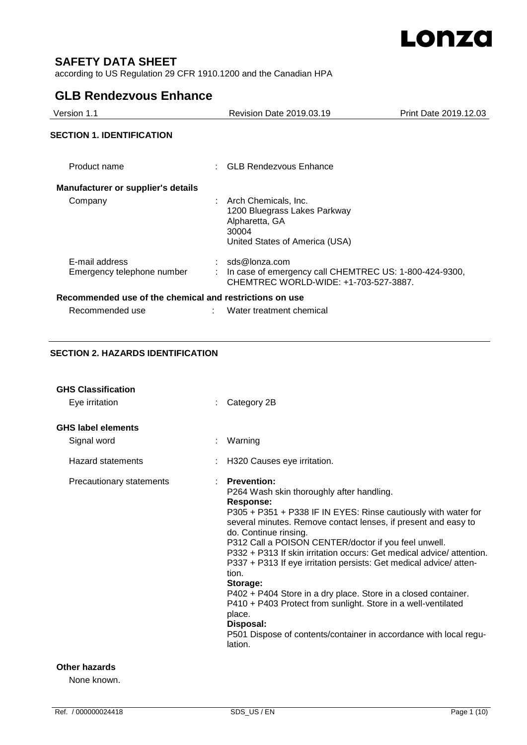

# **SAFETY DATA SHEET**

according to US Regulation 29 CFR 1910.1200 and the Canadian HPA

# **GLB Rendezvous Enhance**

| Version 1.1                                             | <b>Revision Date 2019.03.19</b>                                                                                     | Print Date 2019.12.03 |
|---------------------------------------------------------|---------------------------------------------------------------------------------------------------------------------|-----------------------|
| <b>SECTION 1. IDENTIFICATION</b>                        |                                                                                                                     |                       |
| Product name                                            | <b>GLB Rendezvous Enhance</b>                                                                                       |                       |
| <b>Manufacturer or supplier's details</b>               |                                                                                                                     |                       |
| Company                                                 | : Arch Chemicals, Inc.<br>1200 Bluegrass Lakes Parkway<br>Alpharetta, GA<br>30004<br>United States of America (USA) |                       |
| E-mail address<br>Emergency telephone number            | sds@lonza.com<br>In case of emergency call CHEMTREC US: 1-800-424-9300,<br>CHEMTREC WORLD-WIDE: +1-703-527-3887.    |                       |
| Recommended use of the chemical and restrictions on use |                                                                                                                     |                       |
| Recommended use                                         | Water treatment chemical                                                                                            |                       |

# **SECTION 2. HAZARDS IDENTIFICATION**

| <b>GHS Classification</b><br>Eye irritation | Category 2B                                                                                                                                                                                                                                                                                                                                                                                                                                                                                                                                                                                                                                                                                                   |
|---------------------------------------------|---------------------------------------------------------------------------------------------------------------------------------------------------------------------------------------------------------------------------------------------------------------------------------------------------------------------------------------------------------------------------------------------------------------------------------------------------------------------------------------------------------------------------------------------------------------------------------------------------------------------------------------------------------------------------------------------------------------|
| <b>GHS label elements</b><br>Signal word    | Warning                                                                                                                                                                                                                                                                                                                                                                                                                                                                                                                                                                                                                                                                                                       |
| Hazard statements                           | H320 Causes eye irritation.                                                                                                                                                                                                                                                                                                                                                                                                                                                                                                                                                                                                                                                                                   |
| Precautionary statements                    | <b>Prevention:</b><br>P264 Wash skin thoroughly after handling.<br>Response:<br>P305 + P351 + P338 IF IN EYES: Rinse cautiously with water for<br>several minutes. Remove contact lenses, if present and easy to<br>do. Continue rinsing.<br>P312 Call a POISON CENTER/doctor if you feel unwell.<br>P332 + P313 If skin irritation occurs: Get medical advice/attention.<br>P337 + P313 If eye irritation persists: Get medical advice/atten-<br>tion.<br>Storage:<br>P402 + P404 Store in a dry place. Store in a closed container.<br>P410 + P403 Protect from sunlight. Store in a well-ventilated<br>place.<br>Disposal:<br>P501 Dispose of contents/container in accordance with local regu-<br>lation. |

### **Other hazards**

None known.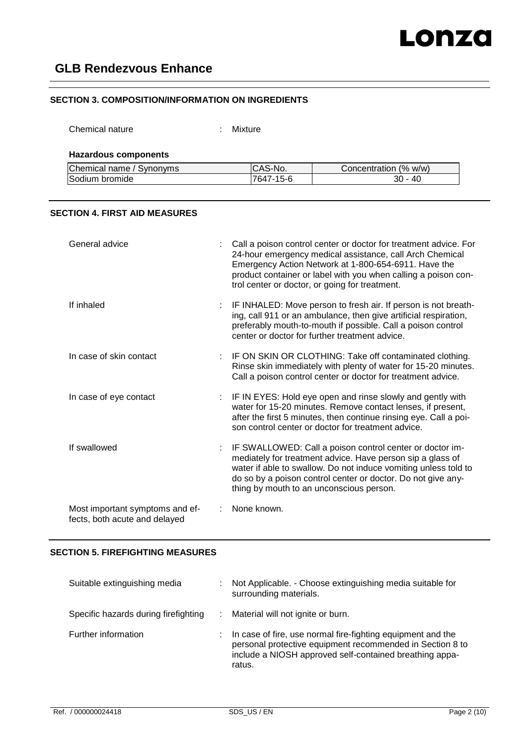# **SECTION 3. COMPOSITION/INFORMATION ON INGREDIENTS**

Chemical nature : Mixture

### **Hazardous components**

| Chemical name / Synonyms | S-No.<br>⊡CAS | Concentration (% w/w) |
|--------------------------|---------------|-----------------------|
| Sodium bromide           | 7647-15-6     | 40<br>30              |

## **SECTION 4. FIRST AID MEASURES**

| General advice                                                   | Call a poison control center or doctor for treatment advice. For<br>24-hour emergency medical assistance, call Arch Chemical<br>Emergency Action Network at 1-800-654-6911. Have the<br>product container or label with you when calling a poison con-<br>trol center or doctor, or going for treatment. |
|------------------------------------------------------------------|----------------------------------------------------------------------------------------------------------------------------------------------------------------------------------------------------------------------------------------------------------------------------------------------------------|
| If inhaled                                                       | IF INHALED: Move person to fresh air. If person is not breath-<br>ing, call 911 or an ambulance, then give artificial respiration,<br>preferably mouth-to-mouth if possible. Call a poison control<br>center or doctor for further treatment advice.                                                     |
| In case of skin contact                                          | IF ON SKIN OR CLOTHING: Take off contaminated clothing.<br>Rinse skin immediately with plenty of water for 15-20 minutes.<br>Call a poison control center or doctor for treatment advice.                                                                                                                |
| In case of eye contact                                           | : IF IN EYES: Hold eye open and rinse slowly and gently with<br>water for 15-20 minutes. Remove contact lenses, if present,<br>after the first 5 minutes, then continue rinsing eye. Call a poi-<br>son control center or doctor for treatment advice.                                                   |
| If swallowed                                                     | IF SWALLOWED: Call a poison control center or doctor im-<br>mediately for treatment advice. Have person sip a glass of<br>water if able to swallow. Do not induce vomiting unless told to<br>do so by a poison control center or doctor. Do not give any-<br>thing by mouth to an unconscious person.    |
| Most important symptoms and ef-<br>fects, both acute and delayed | None known.                                                                                                                                                                                                                                                                                              |

# **SECTION 5. FIREFIGHTING MEASURES**

| Suitable extinguishing media         | Not Applicable. - Choose extinguishing media suitable for<br>surrounding materials.                                                                                                           |
|--------------------------------------|-----------------------------------------------------------------------------------------------------------------------------------------------------------------------------------------------|
| Specific hazards during firefighting | Material will not ignite or burn.                                                                                                                                                             |
| Further information                  | In case of fire, use normal fire-fighting equipment and the<br>personal protective equipment recommended in Section 8 to<br>include a NIOSH approved self-contained breathing appa-<br>ratus. |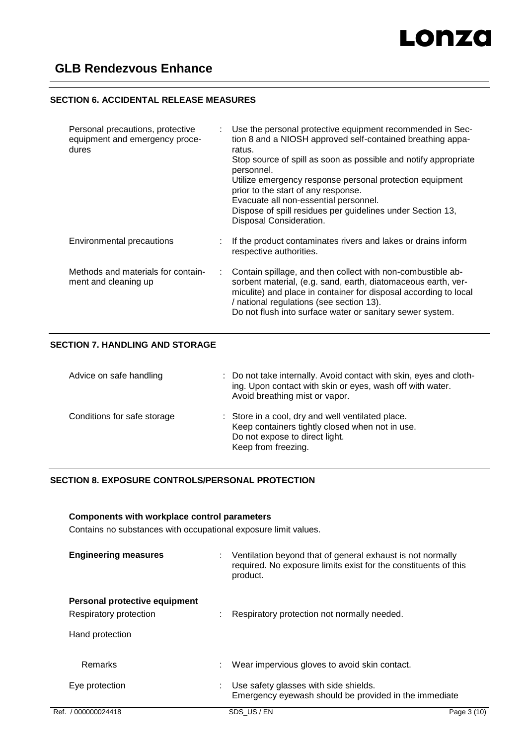# **SECTION 6. ACCIDENTAL RELEASE MEASURES**

| Personal precautions, protective<br>equipment and emergency proce-<br>dures |    | Use the personal protective equipment recommended in Sec-<br>tion 8 and a NIOSH approved self-contained breathing appa-<br>ratus.<br>Stop source of spill as soon as possible and notify appropriate<br>personnel.<br>Utilize emergency response personal protection equipment<br>prior to the start of any response.<br>Evacuate all non-essential personnel.<br>Dispose of spill residues per guidelines under Section 13,<br>Disposal Consideration. |
|-----------------------------------------------------------------------------|----|---------------------------------------------------------------------------------------------------------------------------------------------------------------------------------------------------------------------------------------------------------------------------------------------------------------------------------------------------------------------------------------------------------------------------------------------------------|
| Environmental precautions                                                   |    | If the product contaminates rivers and lakes or drains inform<br>respective authorities.                                                                                                                                                                                                                                                                                                                                                                |
| Methods and materials for contain-<br>ment and cleaning up                  | ÷. | Contain spillage, and then collect with non-combustible ab-<br>sorbent material, (e.g. sand, earth, diatomaceous earth, ver-<br>miculite) and place in container for disposal according to local<br>/ national regulations (see section 13).<br>Do not flush into surface water or sanitary sewer system.                                                                                                                                               |

# **SECTION 7. HANDLING AND STORAGE**

| Advice on safe handling     | : Do not take internally. Avoid contact with skin, eyes and cloth-<br>ing. Upon contact with skin or eyes, wash off with water.<br>Avoid breathing mist or vapor. |
|-----------------------------|-------------------------------------------------------------------------------------------------------------------------------------------------------------------|
| Conditions for safe storage | : Store in a cool, dry and well ventilated place.<br>Keep containers tightly closed when not in use.<br>Do not expose to direct light.<br>Keep from freezing.     |

# **SECTION 8. EXPOSURE CONTROLS/PERSONAL PROTECTION**

# **Components with workplace control parameters**

Contains no substances with occupational exposure limit values.

| <b>Engineering measures</b>                             | Ventilation beyond that of general exhaust is not normally<br>required. No exposure limits exist for the constituents of this<br>product. |             |
|---------------------------------------------------------|-------------------------------------------------------------------------------------------------------------------------------------------|-------------|
| Personal protective equipment<br>Respiratory protection | Respiratory protection not normally needed.                                                                                               |             |
| Hand protection                                         |                                                                                                                                           |             |
| Remarks                                                 | Wear impervious gloves to avoid skin contact.                                                                                             |             |
| Eye protection                                          | Use safety glasses with side shields.<br>Emergency eyewash should be provided in the immediate                                            |             |
| Ref. / 000000024418                                     | SDS US/EN                                                                                                                                 | Page 3 (10) |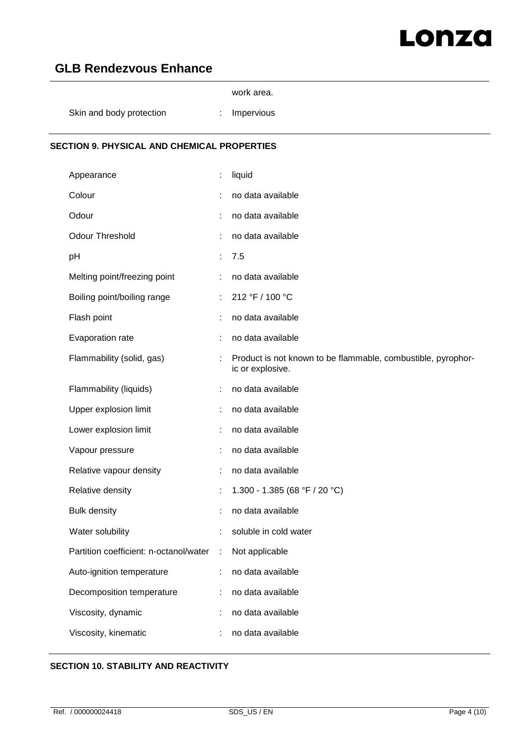# LONZO

# **GLB Rendezvous Enhance**

| <b>SECTION 9. PHYSICAL AND CHEMICAL PROPERTIES</b> |                 |  |
|----------------------------------------------------|-----------------|--|
| Skin and body protection                           | Impervious<br>÷ |  |
|                                                    | work area.      |  |

# Appearance : liquid Colour : no data available Odour : no data available Odour Threshold : no data available pH : 7.5 Melting point/freezing point : no data available Boiling point/boiling range : 212 °F / 100 °C Flash point **in the set of the set of the set of the set of the set of the set of the set of the set of the set of the set of the set of the set of the set of the set of the set of the set of the set of the set of the set** Evaporation rate : no data available Flammability (solid, gas) : Product is not known to be flammable, combustible, pyrophoric or explosive. Flammability (liquids) : no data available Upper explosion limit **interpretent in the contract of the Upper explosion limit**  $\cdot$  in the data available Lower explosion limit **intimum** : no data available Vapour pressure in the set of the set of the value of the Vapour pressure Relative vapour density : no data available Relative density : 1.300 - 1.385 (68 °F / 20 °C) Bulk density in the same state of the state of the state of the state of the state of the state of the state of the state of the state of the state of the state of the state of the state of the state of the state of the st Water solubility **Water solubility :** soluble in cold water Partition coefficient: n-octanol/water : Not applicable Auto-ignition temperature : no data available Decomposition temperature : no data available Viscosity, dynamic : no data available Viscosity, kinematic : no data available

# **SECTION 10. STABILITY AND REACTIVITY**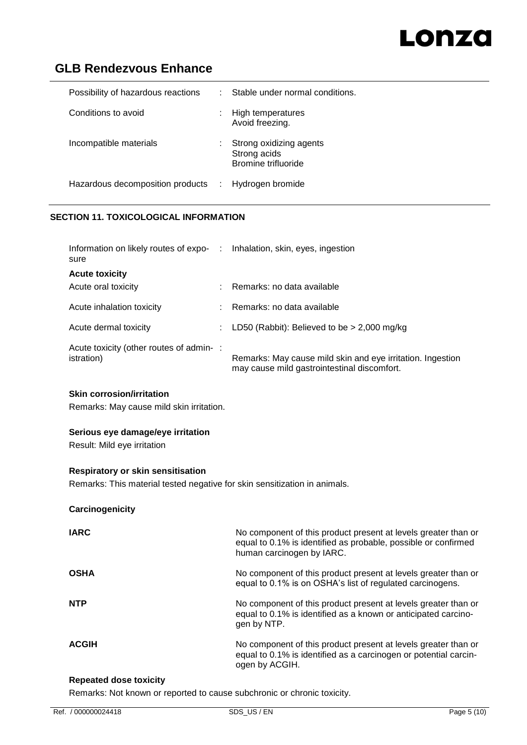# Lonza

# **GLB Rendezvous Enhance**

| Possibility of hazardous reactions | t. | Stable under normal conditions.                                |
|------------------------------------|----|----------------------------------------------------------------|
| Conditions to avoid                |    | High temperatures<br>Avoid freezing.                           |
| Incompatible materials             |    | Strong oxidizing agents<br>Strong acids<br>Bromine trifluoride |
| Hazardous decomposition products : |    | Hydrogen bromide                                               |

# **SECTION 11. TOXICOLOGICAL INFORMATION**

| Information on likely routes of expo- : Inhalation, skin, eyes, ingestion<br>sure |                                                                                                           |
|-----------------------------------------------------------------------------------|-----------------------------------------------------------------------------------------------------------|
| <b>Acute toxicity</b>                                                             |                                                                                                           |
| Acute oral toxicity                                                               | Remarks: no data available                                                                                |
| Acute inhalation toxicity                                                         | $:$ Remarks: no data available                                                                            |
| Acute dermal toxicity                                                             | LD50 (Rabbit): Believed to be $> 2,000$ mg/kg                                                             |
| Acute toxicity (other routes of admin-:<br><i>istration</i> )                     | Remarks: May cause mild skin and eye irritation. Ingestion<br>may cause mild gastrointestinal discomfort. |

# **Skin corrosion/irritation**

Remarks: May cause mild skin irritation.

## **Serious eye damage/eye irritation**

Result: Mild eye irritation

# **Respiratory or skin sensitisation**

Remarks: This material tested negative for skin sensitization in animals.

| Carcinogenicity |                                                                                                                                                               |
|-----------------|---------------------------------------------------------------------------------------------------------------------------------------------------------------|
| <b>IARC</b>     | No component of this product present at levels greater than or<br>equal to 0.1% is identified as probable, possible or confirmed<br>human carcinogen by IARC. |
| <b>OSHA</b>     | No component of this product present at levels greater than or<br>equal to 0.1% is on OSHA's list of regulated carcinogens.                                   |
| <b>NTP</b>      | No component of this product present at levels greater than or<br>equal to 0.1% is identified as a known or anticipated carcino-<br>gen by NTP.               |
| <b>ACGIH</b>    | No component of this product present at levels greater than or<br>equal to 0.1% is identified as a carcinogen or potential carcin-<br>ogen by ACGIH.          |

## **Repeated dose toxicity**

Remarks: Not known or reported to cause subchronic or chronic toxicity.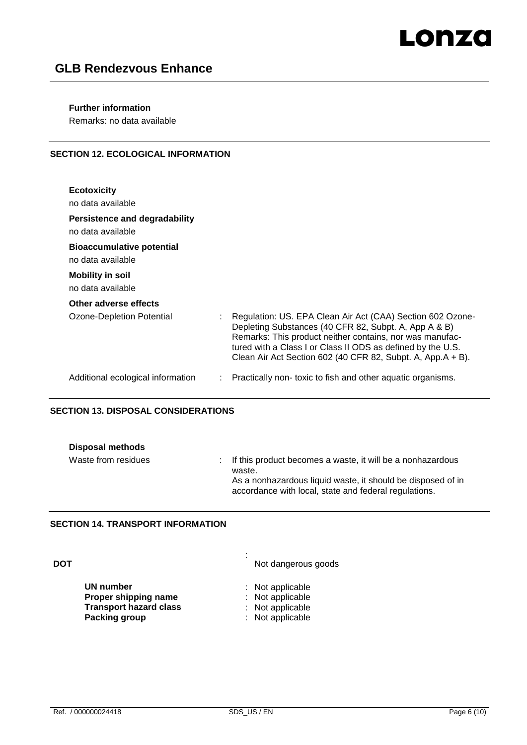# Lonza

# **GLB Rendezvous Enhance**

## **Further information**

Remarks: no data available

# **SECTION 12. ECOLOGICAL INFORMATION**

| <b>Ecotoxicity</b><br>no data available                                                               |                                                                                                                                                                                                                                                                                                               |
|-------------------------------------------------------------------------------------------------------|---------------------------------------------------------------------------------------------------------------------------------------------------------------------------------------------------------------------------------------------------------------------------------------------------------------|
| Persistence and degradability<br>no data available                                                    |                                                                                                                                                                                                                                                                                                               |
| <b>Bioaccumulative potential</b><br>no data available<br><b>Mobility in soil</b><br>no data available |                                                                                                                                                                                                                                                                                                               |
| Other adverse effects                                                                                 |                                                                                                                                                                                                                                                                                                               |
| Ozone-Depletion Potential                                                                             | Regulation: US. EPA Clean Air Act (CAA) Section 602 Ozone-<br>Depleting Substances (40 CFR 82, Subpt. A, App A & B)<br>Remarks: This product neither contains, nor was manufac-<br>tured with a Class I or Class II ODS as defined by the U.S.<br>Clean Air Act Section 602 (40 CFR 82, Subpt. A, App.A + B). |
| Additional ecological information                                                                     | Practically non-toxic to fish and other aquatic organisms.                                                                                                                                                                                                                                                    |

# **SECTION 13. DISPOSAL CONSIDERATIONS**

| Disposal methods    |                                                                                                                                                                                                |
|---------------------|------------------------------------------------------------------------------------------------------------------------------------------------------------------------------------------------|
| Waste from residues | : If this product becomes a waste, it will be a nonhazardous<br>waste.<br>As a nonhazardous liquid waste, it should be disposed of in<br>accordance with local, state and federal regulations. |

:

## **SECTION 14. TRANSPORT INFORMATION**

**DOT**

**UN number** : Not applicable<br> **Proper shipping name** : Not applicable **Proper shipping name** : Not applicable<br> **Transport hazard class** : Not applicable **Transport hazard class<br>Packing group** 

Not dangerous goods

- 
- **Packing group** : Not applicable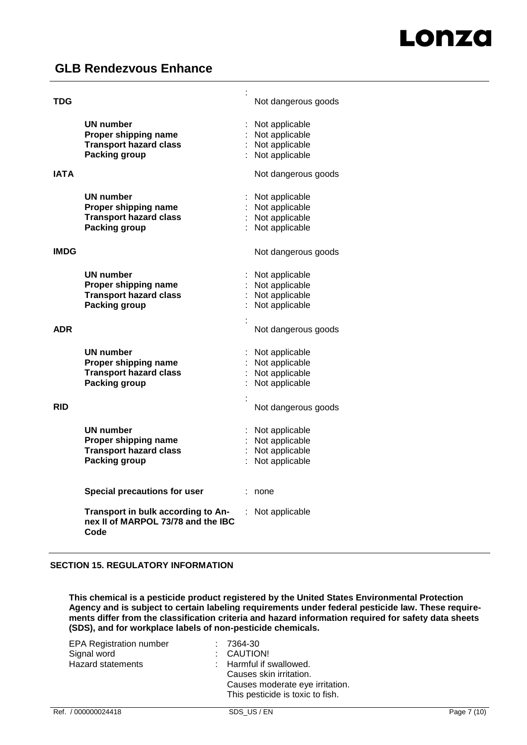| TDG         |                                                                                                   | t | Not dangerous goods                                                        |
|-------------|---------------------------------------------------------------------------------------------------|---|----------------------------------------------------------------------------|
|             | UN number<br>Proper shipping name<br><b>Transport hazard class</b><br>Packing group               |   | Not applicable<br>: Not applicable<br>: Not applicable<br>: Not applicable |
| <b>IATA</b> |                                                                                                   |   | Not dangerous goods                                                        |
|             | <b>UN number</b><br>Proper shipping name<br><b>Transport hazard class</b><br><b>Packing group</b> |   | Not applicable<br>: Not applicable<br>: Not applicable<br>Not applicable   |
| <b>IMDG</b> |                                                                                                   |   | Not dangerous goods                                                        |
|             | <b>UN number</b><br>Proper shipping name<br><b>Transport hazard class</b><br><b>Packing group</b> |   | Not applicable<br>Not applicable<br>: Not applicable<br>: Not applicable   |
| <b>ADR</b>  |                                                                                                   |   | Not dangerous goods                                                        |
|             | <b>UN number</b><br>Proper shipping name<br><b>Transport hazard class</b><br>Packing group        |   | Not applicable<br>: Not applicable<br>: Not applicable<br>Not applicable   |
| <b>RID</b>  |                                                                                                   |   | Not dangerous goods                                                        |
|             | <b>UN number</b><br>Proper shipping name<br><b>Transport hazard class</b><br><b>Packing group</b> |   | Not applicable<br>: Not applicable<br>Not applicable<br>Not applicable     |
|             | <b>Special precautions for user</b>                                                               |   | none                                                                       |
|             | Transport in bulk according to An-<br>nex II of MARPOL 73/78 and the IBC<br>Code                  |   | Not applicable                                                             |

## **SECTION 15. REGULATORY INFORMATION**

**This chemical is a pesticide product registered by the United States Environmental Protection Agency and is subject to certain labeling requirements under federal pesticide law. These requirements differ from the classification criteria and hazard information required for safety data sheets (SDS), and for workplace labels of non-pesticide chemicals.**

| <b>EPA Registration number</b> | $: 7364-30$                      |
|--------------------------------|----------------------------------|
| Signal word                    | : CAUTION!                       |
| <b>Hazard statements</b>       | : Harmful if swallowed.          |
|                                | Causes skin irritation.          |
|                                | Causes moderate eye irritation.  |
|                                | This pesticide is toxic to fish. |
|                                |                                  |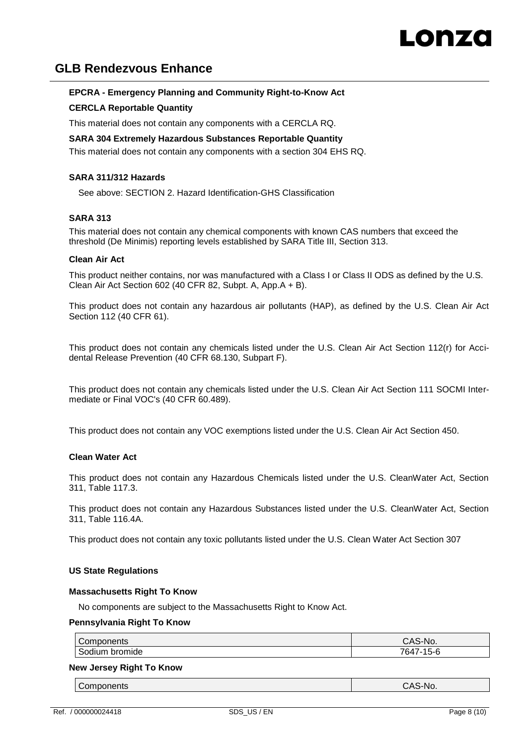# **EPCRA - Emergency Planning and Community Right-to-Know Act**

# **CERCLA Reportable Quantity**

This material does not contain any components with a CERCLA RQ.

#### **SARA 304 Extremely Hazardous Substances Reportable Quantity** This material does not contain any components with a section 304 EHS RQ.

### **SARA 311/312 Hazards**

See above: SECTION 2. Hazard Identification-GHS Classification

#### **SARA 313**

This material does not contain any chemical components with known CAS numbers that exceed the threshold (De Minimis) reporting levels established by SARA Title III, Section 313.

#### **Clean Air Act**

This product neither contains, nor was manufactured with a Class I or Class II ODS as defined by the U.S. Clean Air Act Section 602 (40 CFR 82, Subpt. A, App.A + B).

This product does not contain any hazardous air pollutants (HAP), as defined by the U.S. Clean Air Act Section 112 (40 CFR 61).

This product does not contain any chemicals listed under the U.S. Clean Air Act Section 112(r) for Accidental Release Prevention (40 CFR 68.130, Subpart F).

This product does not contain any chemicals listed under the U.S. Clean Air Act Section 111 SOCMI Intermediate or Final VOC's (40 CFR 60.489).

This product does not contain any VOC exemptions listed under the U.S. Clean Air Act Section 450.

#### **Clean Water Act**

This product does not contain any Hazardous Chemicals listed under the U.S. CleanWater Act, Section 311, Table 117.3.

This product does not contain any Hazardous Substances listed under the U.S. CleanWater Act, Section 311, Table 116.4A.

This product does not contain any toxic pollutants listed under the U.S. Clean Water Act Section 307

#### **US State Regulations**

#### **Massachusetts Right To Know**

No components are subject to the Massachusetts Right to Know Act.

#### **Pennsylvania Right To Know**

| Components        | S-No.<br>$\Lambda$<br>UAJ                        |
|-------------------|--------------------------------------------------|
| bromide<br>sodium | 15-6<br>$\overline{\phantom{a}}$<br>.<br>nΔ<br>ີ |

#### **New Jersey Right To Know**

Components CAS-No.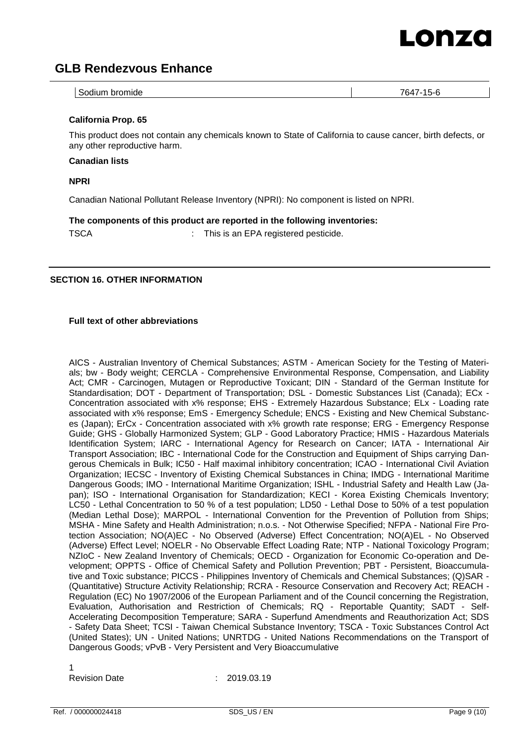

| bromide<br>764<br>Sodium<br>$1 - 1$<br>ັ<br>v<br>∼<br>____<br>.<br>______ |
|---------------------------------------------------------------------------|
|---------------------------------------------------------------------------|

### **California Prop. 65**

This product does not contain any chemicals known to State of California to cause cancer, birth defects, or any other reproductive harm.

#### **Canadian lists**

**NPRI**

Canadian National Pollutant Release Inventory (NPRI): No component is listed on NPRI.

**The components of this product are reported in the following inventories:**

TSCA : This is an EPA registered pesticide.

# **SECTION 16. OTHER INFORMATION**

#### **Full text of other abbreviations**

AICS - Australian Inventory of Chemical Substances; ASTM - American Society for the Testing of Materials; bw - Body weight; CERCLA - Comprehensive Environmental Response, Compensation, and Liability Act; CMR - Carcinogen, Mutagen or Reproductive Toxicant; DIN - Standard of the German Institute for Standardisation; DOT - Department of Transportation; DSL - Domestic Substances List (Canada); ECx -Concentration associated with x% response; EHS - Extremely Hazardous Substance; ELx - Loading rate associated with x% response; EmS - Emergency Schedule; ENCS - Existing and New Chemical Substances (Japan); ErCx - Concentration associated with x% growth rate response; ERG - Emergency Response Guide; GHS - Globally Harmonized System; GLP - Good Laboratory Practice; HMIS - Hazardous Materials Identification System; IARC - International Agency for Research on Cancer; IATA - International Air Transport Association; IBC - International Code for the Construction and Equipment of Ships carrying Dangerous Chemicals in Bulk; IC50 - Half maximal inhibitory concentration; ICAO - International Civil Aviation Organization; IECSC - Inventory of Existing Chemical Substances in China; IMDG - International Maritime Dangerous Goods; IMO - International Maritime Organization; ISHL - Industrial Safety and Health Law (Japan); ISO - International Organisation for Standardization; KECI - Korea Existing Chemicals Inventory; LC50 - Lethal Concentration to 50 % of a test population; LD50 - Lethal Dose to 50% of a test population (Median Lethal Dose); MARPOL - International Convention for the Prevention of Pollution from Ships; MSHA - Mine Safety and Health Administration; n.o.s. - Not Otherwise Specified; NFPA - National Fire Protection Association; NO(A)EC - No Observed (Adverse) Effect Concentration; NO(A)EL - No Observed (Adverse) Effect Level; NOELR - No Observable Effect Loading Rate; NTP - National Toxicology Program; NZIoC - New Zealand Inventory of Chemicals; OECD - Organization for Economic Co-operation and Development; OPPTS - Office of Chemical Safety and Pollution Prevention; PBT - Persistent, Bioaccumulative and Toxic substance; PICCS - Philippines Inventory of Chemicals and Chemical Substances; (Q)SAR - (Quantitative) Structure Activity Relationship; RCRA - Resource Conservation and Recovery Act; REACH - Regulation (EC) No 1907/2006 of the European Parliament and of the Council concerning the Registration, Evaluation, Authorisation and Restriction of Chemicals; RQ - Reportable Quantity; SADT - Self-Accelerating Decomposition Temperature; SARA - Superfund Amendments and Reauthorization Act; SDS - Safety Data Sheet; TCSI - Taiwan Chemical Substance Inventory; TSCA - Toxic Substances Control Act (United States); UN - United Nations; UNRTDG - United Nations Recommendations on the Transport of Dangerous Goods; vPvB - Very Persistent and Very Bioaccumulative

1

Revision Date : 2019.03.19